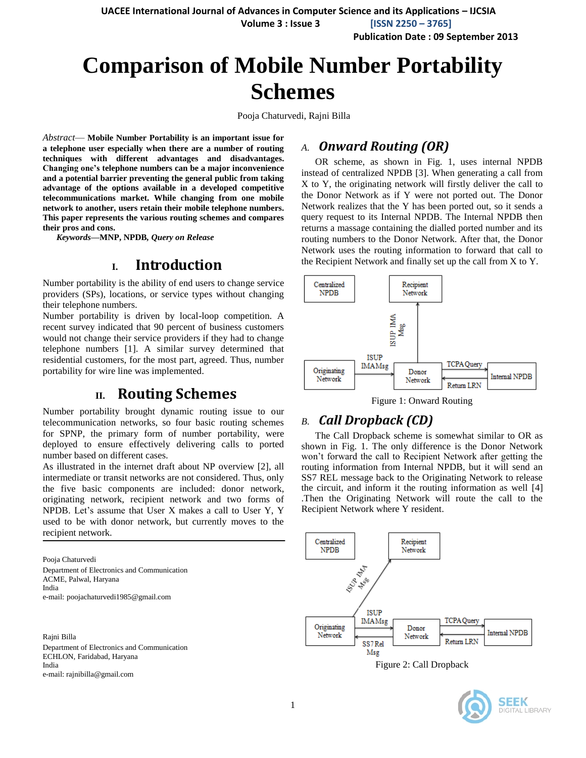**UACEE International Journal of Advances in Computer Science and its Applications – IJCSIA Volume 3 : Issue 3 [ISSN 2250 – 3765]**

**Publication Date : 09 September 2013**

# **Comparison of Mobile Number Portability Schemes**

Pooja Chaturvedi, Rajni Billa

*Abstract*— **Mobile Number Portability is an important issue for a telephone user especially when there are a number of routing techniques with different advantages and disadvantages. Changing one's telephone numbers can be a major inconvenience and a potential barrier preventing the general public from taking advantage of the options available in a developed competitive telecommunications market. While changing from one mobile network to another, users retain their mobile telephone numbers. This paper represents the various routing schemes and compares their pros and cons.** 

*Keywords—***MNP, NPDB***, Query on Release*

## **I. Introduction**

Number portability is the ability of end users to change service providers (SPs), locations, or service types without changing their telephone numbers.

Number portability is driven by local-loop competition. A recent survey indicated that 90 percent of business customers would not change their service providers if they had to change telephone numbers [1]. A similar survey determined that residential customers, for the most part, agreed. Thus, number portability for wire line was implemented.

# **II. Routing Schemes**

Number portability brought dynamic routing issue to our telecommunication networks, so four basic routing schemes for SPNP, the primary form of number portability, were deployed to ensure effectively delivering calls to ported number based on different cases.

As illustrated in the internet draft about NP overview [2], all intermediate or transit networks are not considered. Thus, only the five basic components are included: donor network, originating network, recipient network and two forms of NPDB. Let's assume that User X makes a call to User Y, Y used to be with donor network, but currently moves to the recipient network.

Pooja Chaturvedi Department of Electronics and Communication ACME, Palwal, Haryana India e-mail: poojachaturvedi1985@gmail.com

Rajni Billa

Department of Electronics and Communication ECHLON, Faridabad, Haryana India e-mail: rajnibilla@gmail.com

### *A. Onward Routing (OR)*

OR scheme, as shown in Fig. 1, uses internal NPDB instead of centralized NPDB [3]. When generating a call from X to Y, the originating network will firstly deliver the call to the Donor Network as if Y were not ported out. The Donor Network realizes that the Y has been ported out, so it sends a query request to its Internal NPDB. The Internal NPDB then returns a massage containing the dialled ported number and its routing numbers to the Donor Network. After that, the Donor Network uses the routing information to forward that call to the Recipient Network and finally set up the call from X to Y.



Figure 1: Onward Routing

## *B. Call Dropback (CD)*

The Call Dropback scheme is somewhat similar to OR as shown in Fig. 1. The only difference is the Donor Network won't forward the call to Recipient Network after getting the routing information from Internal NPDB, but it will send an SS7 REL message back to the Originating Network to release the circuit, and inform it the routing information as well [4] .Then the Originating Network will route the call to the Recipient Network where Y resident.



Figure 2: Call Dropback

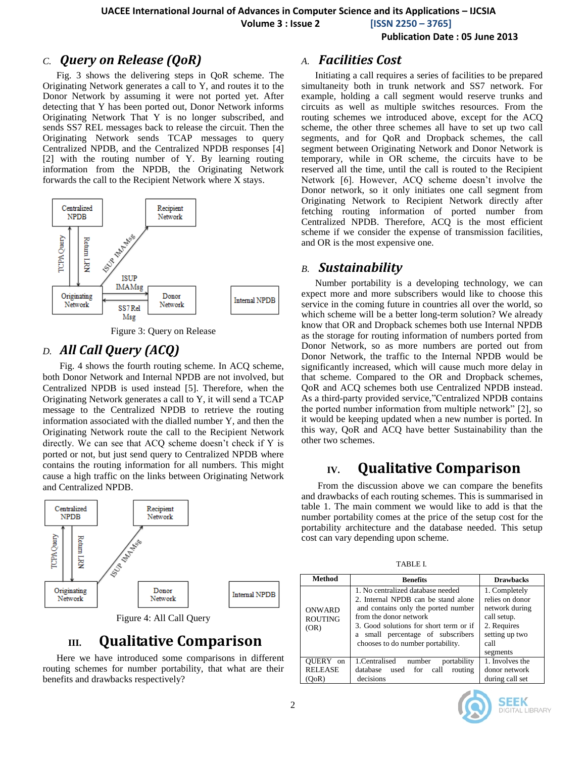**Volume 3 : Issue 2 [ISSN 2250 – 3765]**

**Publication Date : 05 June 2013**

### *C. Query on Release (QoR)*

Fig. 3 shows the delivering steps in QoR scheme. The Originating Network generates a call to Y, and routes it to the Donor Network by assuming it were not ported yet. After detecting that Y has been ported out, Donor Network informs Originating Network That Y is no longer subscribed, and sends SS7 REL messages back to release the circuit. Then the Originating Network sends TCAP messages to query Centralized NPDB, and the Centralized NPDB responses [4] [2] with the routing number of Y. By learning routing information from the NPDB, the Originating Network forwards the call to the Recipient Network where X stays.



Figure 3: Query on Release

### *D. All Call Query (ACQ)*

 Fig. 4 shows the fourth routing scheme. In ACQ scheme, both Donor Network and Internal NPDB are not involved, but Centralized NPDB is used instead [5]. Therefore, when the Originating Network generates a call to Y, it will send a TCAP message to the Centralized NPDB to retrieve the routing information associated with the dialled number Y, and then the Originating Network route the call to the Recipient Network directly. We can see that ACQ scheme doesn't check if Y is ported or not, but just send query to Centralized NPDB where contains the routing information for all numbers. This might cause a high traffic on the links between Originating Network and Centralized NPDB.



# **III. Qualitative Comparison**

Here we have introduced some comparisons in different routing schemes for number portability, that what are their benefits and drawbacks respectively?

### *A. Facilities Cost*

Initiating a call requires a series of facilities to be prepared simultaneity both in trunk network and SS7 network. For example, holding a call segment would reserve trunks and circuits as well as multiple switches resources. From the routing schemes we introduced above, except for the ACQ scheme, the other three schemes all have to set up two call segments, and for QoR and Dropback schemes, the call segment between Originating Network and Donor Network is temporary, while in OR scheme, the circuits have to be reserved all the time, until the call is routed to the Recipient Network [6]. However, ACQ scheme doesn't involve the Donor network, so it only initiates one call segment from Originating Network to Recipient Network directly after fetching routing information of ported number from Centralized NPDB. Therefore, ACQ is the most efficient scheme if we consider the expense of transmission facilities, and OR is the most expensive one.

### *B. Sustainability*

Number portability is a developing technology, we can expect more and more subscribers would like to choose this service in the coming future in countries all over the world, so which scheme will be a better long-term solution? We already know that OR and Dropback schemes both use Internal NPDB as the storage for routing information of numbers ported from Donor Network, so as more numbers are ported out from Donor Network, the traffic to the Internal NPDB would be significantly increased, which will cause much more delay in that scheme. Compared to the OR and Dropback schemes, QoR and ACQ schemes both use Centralized NPDB instead. As a third-party provided service,"Centralized NPDB contains the ported number information from multiple network" [2], so it would be keeping updated when a new number is ported. In this way, QoR and ACQ have better Sustainability than the other two schemes.

# **IV. Qualitative Comparison**

From the discussion above we can compare the benefits and drawbacks of each routing schemes. This is summarised in table 1. The main comment we would like to add is that the number portability comes at the price of the setup cost for the portability architecture and the database needed. This setup cost can vary depending upon scheme.

TABLE I.

| Method                                  | <b>Benefits</b>                                                                                                                                                                                                                                                  | <b>Drawbacks</b>                                                                                                       |
|-----------------------------------------|------------------------------------------------------------------------------------------------------------------------------------------------------------------------------------------------------------------------------------------------------------------|------------------------------------------------------------------------------------------------------------------------|
| <b>ONWARD</b><br><b>ROUTING</b><br>(OR) | 1. No centralized database needed<br>2. Internal NPDB can be stand alone<br>and contains only the ported number<br>from the donor network<br>3. Good solutions for short term or if<br>small percentage of subscribers<br>a<br>chooses to do number portability. | 1. Completely<br>relies on donor<br>network during<br>call setup.<br>2. Requires<br>setting up two<br>call<br>segments |
| OUERY on<br><b>RELEASE</b><br>(OoR)     | 1. Centralised<br>number<br>portability<br>database<br>used for call<br>routing<br>decisions                                                                                                                                                                     | 1. Involves the<br>donor network<br>during call set                                                                    |